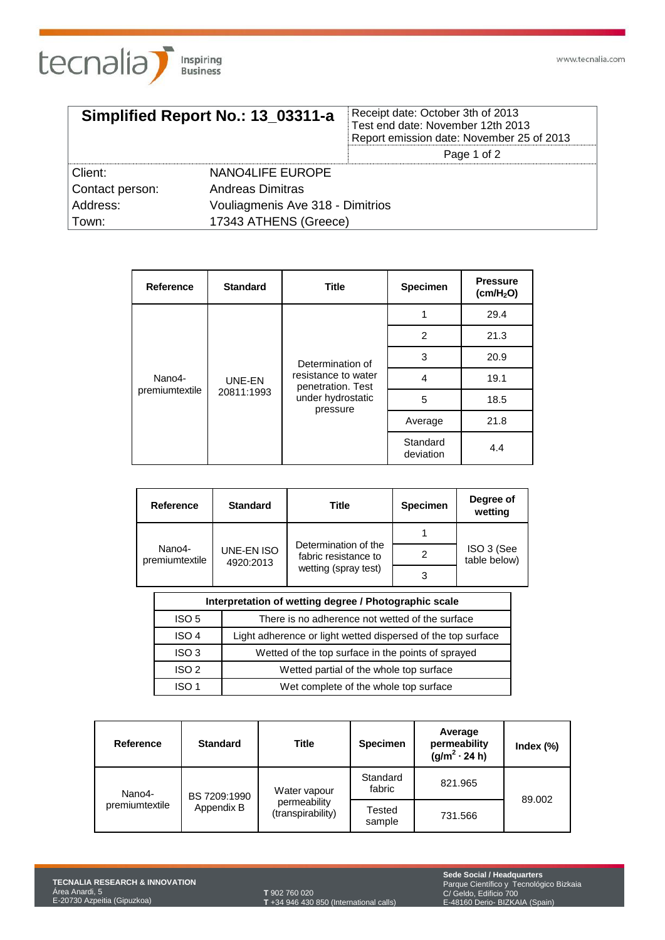

| Simplified Report No.: 13 03311-a |                                  | Receipt date: October 3th of 2013<br>Test end date: November 12th 2013<br>Report emission date: November 25 of 2013 |  |
|-----------------------------------|----------------------------------|---------------------------------------------------------------------------------------------------------------------|--|
|                                   |                                  | Page 1 of 2                                                                                                         |  |
| Client:                           | NANO4LIFE EUROPE                 |                                                                                                                     |  |
| Contact person:                   | Andreas Dimitras                 |                                                                                                                     |  |
| Address:                          | Vouliagmenis Ave 318 - Dimitrios |                                                                                                                     |  |
| Town:                             | 17343 ATHENS (Greece)            |                                                                                                                     |  |

| Reference                | <b>Standard</b> | <b>Title</b>                             | Specimen              | <b>Pressure</b><br>(cm/H <sub>2</sub> O) |
|--------------------------|-----------------|------------------------------------------|-----------------------|------------------------------------------|
|                          |                 |                                          |                       | 29.4                                     |
| Nano4-<br>premiumtextile |                 | 2<br>3<br>Determination of               |                       | 21.3                                     |
|                          |                 |                                          | 20.9                  |                                          |
|                          | UNE-EN          | resistance to water<br>penetration. Test | 4                     | 19.1                                     |
|                          | 20811:1993      | under hydrostatic                        | 5                     | 18.5                                     |
|                          |                 | pressure                                 | Average               | 21.8                                     |
|                          |                 |                                          | Standard<br>deviation | 4.4                                      |

| <b>Reference</b>         | <b>Standard</b>         | <b>Title</b>                                                         | <b>Specimen</b> | Degree of<br>wetting       |
|--------------------------|-------------------------|----------------------------------------------------------------------|-----------------|----------------------------|
|                          |                         |                                                                      |                 |                            |
| Nano4-<br>premiumtextile | UNE-EN ISO<br>4920:2013 | Determination of the<br>fabric resistance to<br>wetting (spray test) |                 | ISO 3 (See<br>table below) |
|                          |                         |                                                                      | 3               |                            |

| Interpretation of wetting degree / Photographic scale                  |                                                              |  |  |  |
|------------------------------------------------------------------------|--------------------------------------------------------------|--|--|--|
| There is no adherence not wetted of the surface<br>ISO <sub>5</sub>    |                                                              |  |  |  |
| ISO <sub>4</sub>                                                       | Light adherence or light wetted dispersed of the top surface |  |  |  |
| Wetted of the top surface in the points of sprayed<br>ISO <sub>3</sub> |                                                              |  |  |  |
| ISO <sub>2</sub>                                                       | Wetted partial of the whole top surface                      |  |  |  |
| ISO 1                                                                  | Wet complete of the whole top surface                        |  |  |  |

| Reference                | <b>Standard</b> | <b>Title</b>                                      | <b>Specimen</b>    | Average<br>permeability<br>$(g/m^2 \cdot 24 h)$ | Index $(\%)$ |
|--------------------------|-----------------|---------------------------------------------------|--------------------|-------------------------------------------------|--------------|
| Nano4-<br>premiumtextile | BS 7209:1990    | Water vapour<br>permeability<br>(transpirability) | Standard<br>fabric | 821.965                                         |              |
|                          | Appendix B      |                                                   | Tested<br>sample   | 731.566                                         | 89.002       |

**T** 902 760 020 **T** +34 946 430 850 (International calls) **Sede Social / Headquarters** Parque Científico y Tecnológico Bizkaia C/ Geldo, Edificio 700 E-48160 Derio- BIZKAIA (Spain)